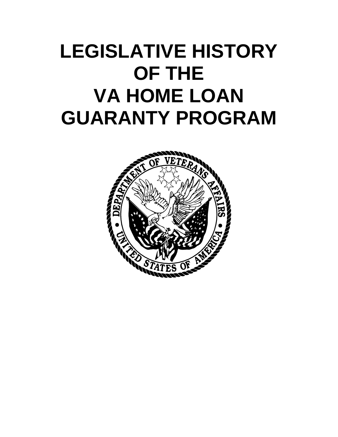## **LEGISLATIVE HISTORY OF THE VA HOME LOAN GUARANTY PROGRAM**

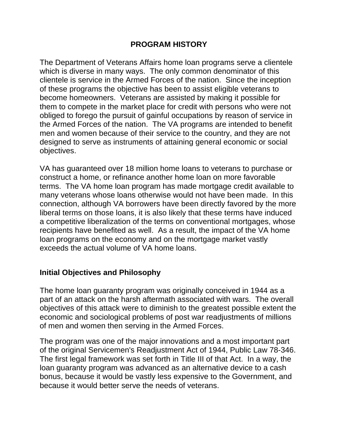## **PROGRAM HISTORY**

The Department of Veterans Affairs home loan programs serve a clientele which is diverse in many ways. The only common denominator of this clientele is service in the Armed Forces of the nation. Since the inception of these programs the objective has been to assist eligible veterans to become homeowners. Veterans are assisted by making it possible for them to compete in the market place for credit with persons who were not obliged to forego the pursuit of gainful occupations by reason of service in the Armed Forces of the nation. The VA programs are intended to benefit men and women because of their service to the country, and they are not designed to serve as instruments of attaining general economic or social objectives.

VA has guaranteed over 18 million home loans to veterans to purchase or construct a home, or refinance another home loan on more favorable terms. The VA home loan program has made mortgage credit available to many veterans whose loans otherwise would not have been made. In this connection, although VA borrowers have been directly favored by the more liberal terms on those loans, it is also likely that these terms have induced a competitive liberalization of the terms on conventional mortgages, whose recipients have benefited as well. As a result, the impact of the VA home loan programs on the economy and on the mortgage market vastly exceeds the actual volume of VA home loans.

## **Initial Objectives and Philosophy**

The home loan guaranty program was originally conceived in 1944 as a part of an attack on the harsh aftermath associated with wars. The overall objectives of this attack were to diminish to the greatest possible extent the economic and sociological problems of post war readjustments of millions of men and women then serving in the Armed Forces.

The program was one of the major innovations and a most important part of the original Servicemen's Readjustment Act of 1944, Public Law 78-346. The first legal framework was set forth in Title III of that Act. In a way, the loan guaranty program was advanced as an alternative device to a cash bonus, because it would be vastly less expensive to the Government, and because it would better serve the needs of veterans.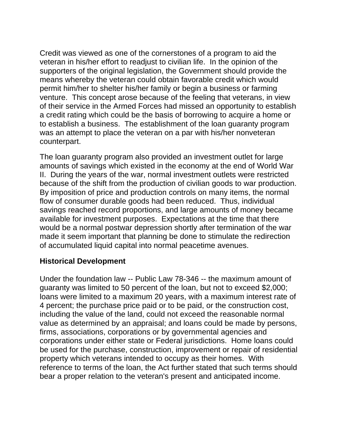Credit was viewed as one of the cornerstones of a program to aid the veteran in his/her effort to readjust to civilian life. In the opinion of the supporters of the original legislation, the Government should provide the means whereby the veteran could obtain favorable credit which would permit him/her to shelter his/her family or begin a business or farming venture. This concept arose because of the feeling that veterans, in view of their service in the Armed Forces had missed an opportunity to establish a credit rating which could be the basis of borrowing to acquire a home or to establish a business. The establishment of the loan guaranty program was an attempt to place the veteran on a par with his/her nonveteran counterpart.

The loan guaranty program also provided an investment outlet for large amounts of savings which existed in the economy at the end of World War II. During the years of the war, normal investment outlets were restricted because of the shift from the production of civilian goods to war production. By imposition of price and production controls on many items, the normal flow of consumer durable goods had been reduced. Thus, individual savings reached record proportions, and large amounts of money became available for investment purposes. Expectations at the time that there would be a normal postwar depression shortly after termination of the war made it seem important that planning be done to stimulate the redirection of accumulated liquid capital into normal peacetime avenues.

## **Historical Development**

Under the foundation law -- Public Law 78-346 -- the maximum amount of guaranty was limited to 50 percent of the loan, but not to exceed \$2,000; loans were limited to a maximum 20 years, with a maximum interest rate of 4 percent; the purchase price paid or to be paid, or the construction cost, including the value of the land, could not exceed the reasonable normal value as determined by an appraisal; and loans could be made by persons, firms, associations, corporations or by governmental agencies and corporations under either state or Federal jurisdictions. Home loans could be used for the purchase, construction, improvement or repair of residential property which veterans intended to occupy as their homes. With reference to terms of the loan, the Act further stated that such terms should bear a proper relation to the veteran's present and anticipated income.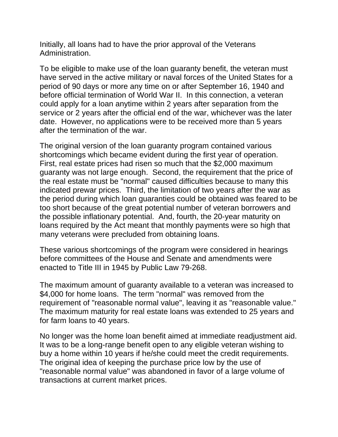Initially, all loans had to have the prior approval of the Veterans Administration.

To be eligible to make use of the loan guaranty benefit, the veteran must have served in the active military or naval forces of the United States for a period of 90 days or more any time on or after September 16, 1940 and before official termination of World War II. In this connection, a veteran could apply for a loan anytime within 2 years after separation from the service or 2 years after the official end of the war, whichever was the later date. However, no applications were to be received more than 5 years after the termination of the war.

The original version of the loan guaranty program contained various shortcomings which became evident during the first year of operation. First, real estate prices had risen so much that the \$2,000 maximum guaranty was not large enough. Second, the requirement that the price of the real estate must be "normal" caused difficulties because to many this indicated prewar prices. Third, the limitation of two years after the war as the period during which loan guaranties could be obtained was feared to be too short because of the great potential number of veteran borrowers and the possible inflationary potential. And, fourth, the 20-year maturity on loans required by the Act meant that monthly payments were so high that many veterans were precluded from obtaining loans.

These various shortcomings of the program were considered in hearings before committees of the House and Senate and amendments were enacted to Title III in 1945 by Public Law 79-268.

The maximum amount of guaranty available to a veteran was increased to \$4,000 for home loans. The term "normal" was removed from the requirement of "reasonable normal value", leaving it as "reasonable value." The maximum maturity for real estate loans was extended to 25 years and for farm loans to 40 years.

No longer was the home loan benefit aimed at immediate readjustment aid. It was to be a long-range benefit open to any eligible veteran wishing to buy a home within 10 years if he/she could meet the credit requirements. The original idea of keeping the purchase price low by the use of "reasonable normal value" was abandoned in favor of a large volume of transactions at current market prices.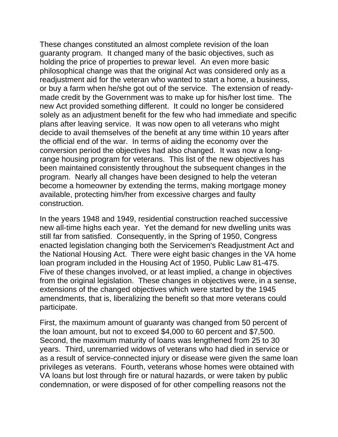These changes constituted an almost complete revision of the loan guaranty program. It changed many of the basic objectives, such as holding the price of properties to prewar level. An even more basic philosophical change was that the original Act was considered only as a readjustment aid for the veteran who wanted to start a home, a business, or buy a farm when he/she got out of the service. The extension of readymade credit by the Government was to make up for his/her lost time. The new Act provided something different. It could no longer be considered solely as an adjustment benefit for the few who had immediate and specific plans after leaving service. It was now open to all veterans who might decide to avail themselves of the benefit at any time within 10 years after the official end of the war. In terms of aiding the economy over the conversion period the objectives had also changed. It was now a longrange housing program for veterans. This list of the new objectives has been maintained consistently throughout the subsequent changes in the program. Nearly all changes have been designed to help the veteran become a homeowner by extending the terms, making mortgage money available, protecting him/her from excessive charges and faulty construction.

In the years 1948 and 1949, residential construction reached successive new all-time highs each year. Yet the demand for new dwelling units was still far from satisfied. Consequently, in the Spring of 1950, Congress enacted legislation changing both the Servicemen's Readjustment Act and the National Housing Act. There were eight basic changes in the VA home loan program included in the Housing Act of 1950, Public Law 81-475. Five of these changes involved, or at least implied, a change in objectives from the original legislation. These changes in objectives were, in a sense, extensions of the changed objectives which were started by the 1945 amendments, that is, liberalizing the benefit so that more veterans could participate.

First, the maximum amount of guaranty was changed from 50 percent of the loan amount, but not to exceed \$4,000 to 60 percent and \$7,500. Second, the maximum maturity of loans was lengthened from 25 to 30 years. Third, unremarried widows of veterans who had died in service or as a result of service-connected injury or disease were given the same loan privileges as veterans. Fourth, veterans whose homes were obtained with VA loans but lost through fire or natural hazards, or were taken by public condemnation, or were disposed of for other compelling reasons not the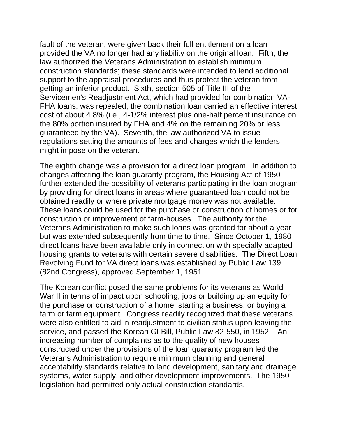fault of the veteran, were given back their full entitlement on a loan provided the VA no longer had any liability on the original loan. Fifth, the law authorized the Veterans Administration to establish minimum construction standards; these standards were intended to lend additional support to the appraisal procedures and thus protect the veteran from getting an inferior product. Sixth, section 505 of Title III of the Servicemen's Readjustment Act, which had provided for combination VA-FHA loans, was repealed; the combination loan carried an effective interest cost of about 4.8% (i.e., 4-1/2% interest plus one-half percent insurance on the 80% portion insured by FHA and 4% on the remaining 20% or less guaranteed by the VA). Seventh, the law authorized VA to issue regulations setting the amounts of fees and charges which the lenders might impose on the veteran.

The eighth change was a provision for a direct loan program. In addition to changes affecting the loan guaranty program, the Housing Act of 1950 further extended the possibility of veterans participating in the loan program by providing for direct loans in areas where guaranteed loan could not be obtained readily or where private mortgage money was not available. These loans could be used for the purchase or construction of homes or for construction or improvement of farm-houses. The authority for the Veterans Administration to make such loans was granted for about a year but was extended subsequently from time to time. Since October 1, 1980 direct loans have been available only in connection with specially adapted housing grants to veterans with certain severe disabilities. The Direct Loan Revolving Fund for VA direct loans was established by Public Law 139 (82nd Congress), approved September 1, 1951.

The Korean conflict posed the same problems for its veterans as World War II in terms of impact upon schooling, jobs or building up an equity for the purchase or construction of a home, starting a business, or buying a farm or farm equipment. Congress readily recognized that these veterans were also entitled to aid in readjustment to civilian status upon leaving the service, and passed the Korean GI Bill, Public Law 82-550, in 1952. An increasing number of complaints as to the quality of new houses constructed under the provisions of the loan guaranty program led the Veterans Administration to require minimum planning and general acceptability standards relative to land development, sanitary and drainage systems, water supply, and other development improvements. The 1950 legislation had permitted only actual construction standards.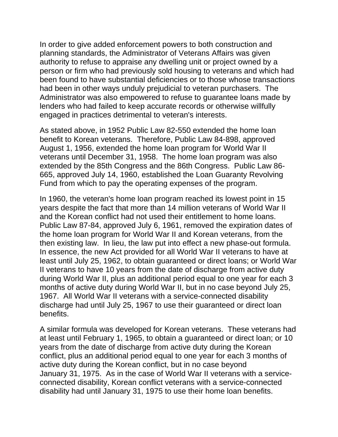In order to give added enforcement powers to both construction and planning standards, the Administrator of Veterans Affairs was given authority to refuse to appraise any dwelling unit or project owned by a person or firm who had previously sold housing to veterans and which had been found to have substantial deficiencies or to those whose transactions had been in other ways unduly prejudicial to veteran purchasers. The Administrator was also empowered to refuse to guarantee loans made by lenders who had failed to keep accurate records or otherwise willfully engaged in practices detrimental to veteran's interests.

As stated above, in 1952 Public Law 82-550 extended the home loan benefit to Korean veterans. Therefore, Public Law 84-898, approved August 1, 1956, extended the home loan program for World War II veterans until December 31, 1958. The home loan program was also extended by the 85th Congress and the 86th Congress. Public Law 86- 665, approved July 14, 1960, established the Loan Guaranty Revolving Fund from which to pay the operating expenses of the program.

In 1960, the veteran's home loan program reached its lowest point in 15 years despite the fact that more than 14 million veterans of World War II and the Korean conflict had not used their entitlement to home loans. Public Law 87-84, approved July 6, 1961, removed the expiration dates of the home loan program for World War II and Korean veterans, from the then existing law. In lieu, the law put into effect a new phase-out formula. In essence, the new Act provided for all World War II veterans to have at least until July 25, 1962, to obtain guaranteed or direct loans; or World War II veterans to have 10 years from the date of discharge from active duty during World War II, plus an additional period equal to one year for each 3 months of active duty during World War II, but in no case beyond July 25, 1967. All World War II veterans with a service-connected disability discharge had until July 25, 1967 to use their guaranteed or direct loan benefits.

A similar formula was developed for Korean veterans. These veterans had at least until February 1, 1965, to obtain a guaranteed or direct loan; or 10 years from the date of discharge from active duty during the Korean conflict, plus an additional period equal to one year for each 3 months of active duty during the Korean conflict, but in no case beyond January 31, 1975. As in the case of World War II veterans with a serviceconnected disability, Korean conflict veterans with a service-connected disability had until January 31, 1975 to use their home loan benefits.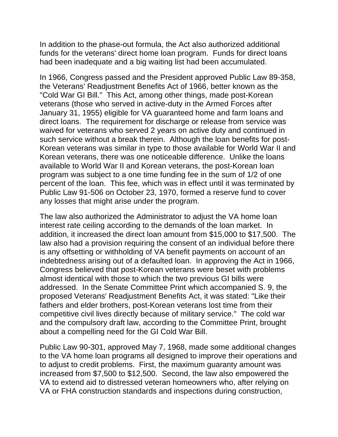In addition to the phase-out formula, the Act also authorized additional funds for the veterans' direct home loan program. Funds for direct loans had been inadequate and a big waiting list had been accumulated.

In 1966, Congress passed and the President approved Public Law 89-358, the Veterans' Readjustment Benefits Act of 1966, better known as the "Cold War GI Bill." This Act, among other things, made post-Korean veterans (those who served in active-duty in the Armed Forces after January 31, 1955) eligible for VA guaranteed home and farm loans and direct loans. The requirement for discharge or release from service was waived for veterans who served 2 years on active duty and continued in such service without a break therein. Although the loan benefits for post-Korean veterans was similar in type to those available for World War II and Korean veterans, there was one noticeable difference. Unlike the loans available to World War II and Korean veterans, the post-Korean loan program was subject to a one time funding fee in the sum of 1/2 of one percent of the loan. This fee, which was in effect until it was terminated by Public Law 91-506 on October 23, 1970, formed a reserve fund to cover any losses that might arise under the program.

The law also authorized the Administrator to adjust the VA home loan interest rate ceiling according to the demands of the loan market. In addition, it increased the direct loan amount from \$15,000 to \$17,500. The law also had a provision requiring the consent of an individual before there is any offsetting or withholding of VA benefit payments on account of an indebtedness arising out of a defaulted loan. In approving the Act in 1966, Congress believed that post-Korean veterans were beset with problems almost identical with those to which the two previous GI bills were addressed. In the Senate Committee Print which accompanied S. 9, the proposed Veterans' Readjustment Benefits Act, it was stated: "Like their fathers and elder brothers, post-Korean veterans lost time from their competitive civil lives directly because of military service." The cold war and the compulsory draft law, according to the Committee Print, brought about a compelling need for the GI Cold War Bill.

Public Law 90-301, approved May 7, 1968, made some additional changes to the VA home loan programs all designed to improve their operations and to adjust to credit problems. First, the maximum guaranty amount was increased from \$7,500 to \$12,500. Second, the law also empowered the VA to extend aid to distressed veteran homeowners who, after relying on VA or FHA construction standards and inspections during construction,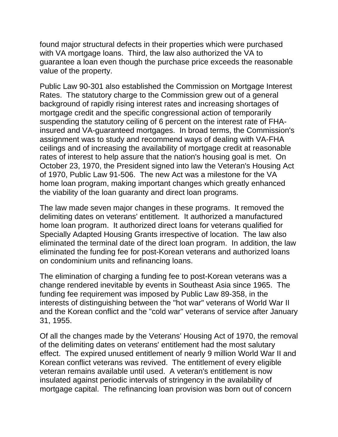found major structural defects in their properties which were purchased with VA mortgage loans. Third, the law also authorized the VA to guarantee a loan even though the purchase price exceeds the reasonable value of the property.

Public Law 90-301 also established the Commission on Mortgage Interest Rates. The statutory charge to the Commission grew out of a general background of rapidly rising interest rates and increasing shortages of mortgage credit and the specific congressional action of temporarily suspending the statutory ceiling of 6 percent on the interest rate of FHAinsured and VA-guaranteed mortgages. In broad terms, the Commission's assignment was to study and recommend ways of dealing with VA-FHA ceilings and of increasing the availability of mortgage credit at reasonable rates of interest to help assure that the nation's housing goal is met. On October 23, 1970, the President signed into law the Veteran's Housing Act of 1970, Public Law 91-506. The new Act was a milestone for the VA home loan program, making important changes which greatly enhanced the viability of the loan guaranty and direct loan programs.

The law made seven major changes in these programs. It removed the delimiting dates on veterans' entitlement. It authorized a manufactured home loan program. It authorized direct loans for veterans qualified for Specially Adapted Housing Grants irrespective of location. The law also eliminated the terminal date of the direct loan program. In addition, the law eliminated the funding fee for post-Korean veterans and authorized loans on condominium units and refinancing loans.

The elimination of charging a funding fee to post-Korean veterans was a change rendered inevitable by events in Southeast Asia since 1965. The funding fee requirement was imposed by Public Law 89-358, in the interests of distinguishing between the "hot war" veterans of World War II and the Korean conflict and the "cold war" veterans of service after January 31, 1955.

Of all the changes made by the Veterans' Housing Act of 1970, the removal of the delimiting dates on veterans' entitlement had the most salutary effect. The expired unused entitlement of nearly 9 million World War II and Korean conflict veterans was revived. The entitlement of every eligible veteran remains available until used. A veteran's entitlement is now insulated against periodic intervals of stringency in the availability of mortgage capital. The refinancing loan provision was born out of concern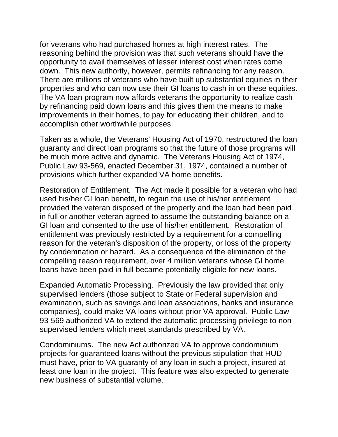for veterans who had purchased homes at high interest rates. The reasoning behind the provision was that such veterans should have the opportunity to avail themselves of lesser interest cost when rates come down. This new authority, however, permits refinancing for any reason. There are millions of veterans who have built up substantial equities in their properties and who can now use their GI loans to cash in on these equities. The VA loan program now affords veterans the opportunity to realize cash by refinancing paid down loans and this gives them the means to make improvements in their homes, to pay for educating their children, and to accomplish other worthwhile purposes.

Taken as a whole, the Veterans' Housing Act of 1970, restructured the loan guaranty and direct loan programs so that the future of those programs will be much more active and dynamic. The Veterans Housing Act of 1974, Public Law 93-569, enacted December 31, 1974, contained a number of provisions which further expanded VA home benefits.

Restoration of Entitlement. The Act made it possible for a veteran who had used his/her GI loan benefit, to regain the use of his/her entitlement provided the veteran disposed of the property and the loan had been paid in full or another veteran agreed to assume the outstanding balance on a GI loan and consented to the use of his/her entitlement. Restoration of entitlement was previously restricted by a requirement for a compelling reason for the veteran's disposition of the property, or loss of the property by condemnation or hazard. As a consequence of the elimination of the compelling reason requirement, over 4 million veterans whose GI home loans have been paid in full became potentially eligible for new loans.

Expanded Automatic Processing. Previously the law provided that only supervised lenders (those subject to State or Federal supervision and examination, such as savings and loan associations, banks and insurance companies), could make VA loans without prior VA approval. Public Law 93-569 authorized VA to extend the automatic processing privilege to nonsupervised lenders which meet standards prescribed by VA.

Condominiums. The new Act authorized VA to approve condominium projects for guaranteed loans without the previous stipulation that HUD must have, prior to VA guaranty of any loan in such a project, insured at least one loan in the project. This feature was also expected to generate new business of substantial volume.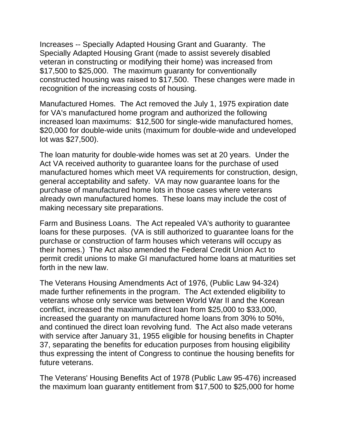Increases -- Specially Adapted Housing Grant and Guaranty. The Specially Adapted Housing Grant (made to assist severely disabled veteran in constructing or modifying their home) was increased from \$17,500 to \$25,000. The maximum guaranty for conventionally constructed housing was raised to \$17,500. These changes were made in recognition of the increasing costs of housing.

Manufactured Homes. The Act removed the July 1, 1975 expiration date for VA's manufactured home program and authorized the following increased loan maximums: \$12,500 for single-wide manufactured homes, \$20,000 for double-wide units (maximum for double-wide and undeveloped lot was \$27,500).

The loan maturity for double-wide homes was set at 20 years. Under the Act VA received authority to guarantee loans for the purchase of used manufactured homes which meet VA requirements for construction, design, general acceptability and safety. VA may now guarantee loans for the purchase of manufactured home lots in those cases where veterans already own manufactured homes. These loans may include the cost of making necessary site preparations.

Farm and Business Loans. The Act repealed VA's authority to guarantee loans for these purposes. (VA is still authorized to guarantee loans for the purchase or construction of farm houses which veterans will occupy as their homes.) The Act also amended the Federal Credit Union Act to permit credit unions to make GI manufactured home loans at maturities set forth in the new law.

The Veterans Housing Amendments Act of 1976, (Public Law 94-324) made further refinements in the program. The Act extended eligibility to veterans whose only service was between World War II and the Korean conflict, increased the maximum direct loan from \$25,000 to \$33,000, increased the guaranty on manufactured home loans from 30% to 50%, and continued the direct loan revolving fund. The Act also made veterans with service after January 31, 1955 eligible for housing benefits in Chapter 37, separating the benefits for education purposes from housing eligibility thus expressing the intent of Congress to continue the housing benefits for future veterans.

The Veterans' Housing Benefits Act of 1978 (Public Law 95-476) increased the maximum loan guaranty entitlement from \$17,500 to \$25,000 for home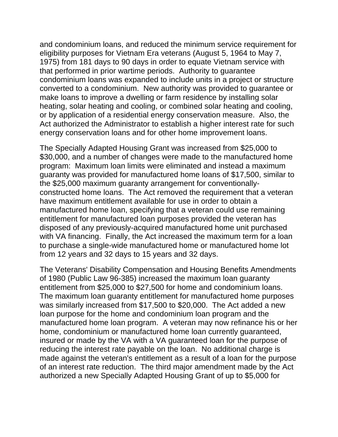and condominium loans, and reduced the minimum service requirement for eligibility purposes for Vietnam Era veterans (August 5, 1964 to May 7, 1975) from 181 days to 90 days in order to equate Vietnam service with that performed in prior wartime periods. Authority to guarantee condominium loans was expanded to include units in a project or structure converted to a condominium. New authority was provided to guarantee or make loans to improve a dwelling or farm residence by installing solar heating, solar heating and cooling, or combined solar heating and cooling, or by application of a residential energy conservation measure. Also, the Act authorized the Administrator to establish a higher interest rate for such energy conservation loans and for other home improvement loans.

The Specially Adapted Housing Grant was increased from \$25,000 to \$30,000, and a number of changes were made to the manufactured home program: Maximum loan limits were eliminated and instead a maximum guaranty was provided for manufactured home loans of \$17,500, similar to the \$25,000 maximum guaranty arrangement for conventionallyconstructed home loans. The Act removed the requirement that a veteran have maximum entitlement available for use in order to obtain a manufactured home loan, specifying that a veteran could use remaining entitlement for manufactured loan purposes provided the veteran has disposed of any previously-acquired manufactured home unit purchased with VA financing. Finally, the Act increased the maximum term for a loan to purchase a single-wide manufactured home or manufactured home lot from 12 years and 32 days to 15 years and 32 days.

The Veterans' Disability Compensation and Housing Benefits Amendments of 1980 (Public Law 96-385) increased the maximum loan guaranty entitlement from \$25,000 to \$27,500 for home and condominium loans. The maximum loan guaranty entitlement for manufactured home purposes was similarly increased from \$17,500 to \$20,000. The Act added a new loan purpose for the home and condominium loan program and the manufactured home loan program. A veteran may now refinance his or her home, condominium or manufactured home loan currently guaranteed, insured or made by the VA with a VA guaranteed loan for the purpose of reducing the interest rate payable on the loan. No additional charge is made against the veteran's entitlement as a result of a loan for the purpose of an interest rate reduction. The third major amendment made by the Act authorized a new Specially Adapted Housing Grant of up to \$5,000 for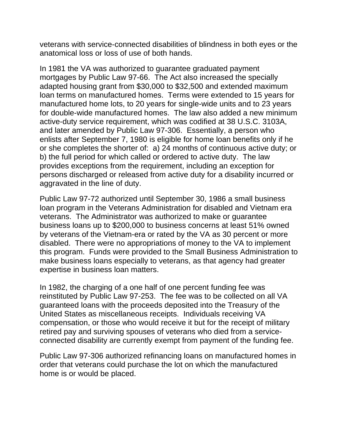veterans with service-connected disabilities of blindness in both eyes or the anatomical loss or loss of use of both hands.

In 1981 the VA was authorized to guarantee graduated payment mortgages by Public Law 97-66. The Act also increased the specially adapted housing grant from \$30,000 to \$32,500 and extended maximum loan terms on manufactured homes. Terms were extended to 15 years for manufactured home lots, to 20 years for single-wide units and to 23 years for double-wide manufactured homes. The law also added a new minimum active-duty service requirement, which was codified at 38 U.S.C. 3103A, and later amended by Public Law 97-306. Essentially, a person who enlists after September 7, 1980 is eligible for home loan benefits only if he or she completes the shorter of: a) 24 months of continuous active duty; or b) the full period for which called or ordered to active duty. The law provides exceptions from the requirement, including an exception for persons discharged or released from active duty for a disability incurred or aggravated in the line of duty.

Public Law 97-72 authorized until September 30, 1986 a small business loan program in the Veterans Administration for disabled and Vietnam era veterans. The Administrator was authorized to make or guarantee business loans up to \$200,000 to business concerns at least 51% owned by veterans of the Vietnam-era or rated by the VA as 30 percent or more disabled. There were no appropriations of money to the VA to implement this program. Funds were provided to the Small Business Administration to make business loans especially to veterans, as that agency had greater expertise in business loan matters.

In 1982, the charging of a one half of one percent funding fee was reinstituted by Public Law 97-253. The fee was to be collected on all VA guaranteed loans with the proceeds deposited into the Treasury of the United States as miscellaneous receipts. Individuals receiving VA compensation, or those who would receive it but for the receipt of military retired pay and surviving spouses of veterans who died from a serviceconnected disability are currently exempt from payment of the funding fee.

Public Law 97-306 authorized refinancing loans on manufactured homes in order that veterans could purchase the lot on which the manufactured home is or would be placed.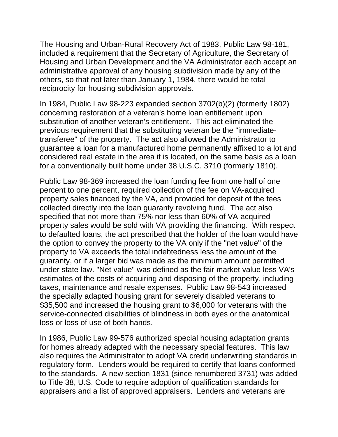The Housing and Urban-Rural Recovery Act of 1983, Public Law 98-181, included a requirement that the Secretary of Agriculture, the Secretary of Housing and Urban Development and the VA Administrator each accept an administrative approval of any housing subdivision made by any of the others, so that not later than January 1, 1984, there would be total reciprocity for housing subdivision approvals.

In 1984, Public Law 98-223 expanded section 3702(b)(2) (formerly 1802) concerning restoration of a veteran's home loan entitlement upon substitution of another veteran's entitlement. This act eliminated the previous requirement that the substituting veteran be the "immediatetransferee" of the property. The act also allowed the Administrator to guarantee a loan for a manufactured home permanently affixed to a lot and considered real estate in the area it is located, on the same basis as a loan for a conventionally built home under 38 U.S.C. 3710 (formerly 1810).

Public Law 98-369 increased the loan funding fee from one half of one percent to one percent, required collection of the fee on VA-acquired property sales financed by the VA, and provided for deposit of the fees collected directly into the loan guaranty revolving fund. The act also specified that not more than 75% nor less than 60% of VA-acquired property sales would be sold with VA providing the financing. With respect to defaulted loans, the act prescribed that the holder of the loan would have the option to convey the property to the VA only if the "net value" of the property to VA exceeds the total indebtedness less the amount of the guaranty, or if a larger bid was made as the minimum amount permitted under state law. "Net value" was defined as the fair market value less VA's estimates of the costs of acquiring and disposing of the property, including taxes, maintenance and resale expenses. Public Law 98-543 increased the specially adapted housing grant for severely disabled veterans to \$35,500 and increased the housing grant to \$6,000 for veterans with the service-connected disabilities of blindness in both eyes or the anatomical loss or loss of use of both hands.

In 1986, Public Law 99-576 authorized special housing adaptation grants for homes already adapted with the necessary special features. This law also requires the Administrator to adopt VA credit underwriting standards in regulatory form. Lenders would be required to certify that loans conformed to the standards. A new section 1831 (since renumbered 3731) was added to Title 38, U.S. Code to require adoption of qualification standards for appraisers and a list of approved appraisers. Lenders and veterans are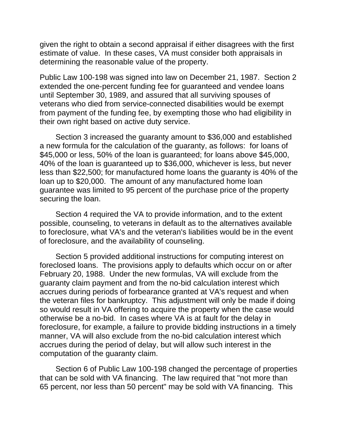given the right to obtain a second appraisal if either disagrees with the first estimate of value. In these cases, VA must consider both appraisals in determining the reasonable value of the property.

Public Law 100-198 was signed into law on December 21, 1987. Section 2 extended the one-percent funding fee for guaranteed and vendee loans until September 30, 1989, and assured that all surviving spouses of veterans who died from service-connected disabilities would be exempt from payment of the funding fee, by exempting those who had eligibility in their own right based on active duty service.

 Section 3 increased the guaranty amount to \$36,000 and established a new formula for the calculation of the guaranty, as follows: for loans of \$45,000 or less, 50% of the loan is guaranteed; for loans above \$45,000, 40% of the loan is guaranteed up to \$36,000, whichever is less, but never less than \$22,500; for manufactured home loans the guaranty is 40% of the loan up to \$20,000. The amount of any manufactured home loan guarantee was limited to 95 percent of the purchase price of the property securing the loan.

 Section 4 required the VA to provide information, and to the extent possible, counseling, to veterans in default as to the alternatives available to foreclosure, what VA's and the veteran's liabilities would be in the event of foreclosure, and the availability of counseling.

 Section 5 provided additional instructions for computing interest on foreclosed loans. The provisions apply to defaults which occur on or after February 20, 1988. Under the new formulas, VA will exclude from the guaranty claim payment and from the no-bid calculation interest which accrues during periods of forbearance granted at VA's request and when the veteran files for bankruptcy. This adjustment will only be made if doing so would result in VA offering to acquire the property when the case would otherwise be a no-bid. In cases where VA is at fault for the delay in foreclosure, for example, a failure to provide bidding instructions in a timely manner, VA will also exclude from the no-bid calculation interest which accrues during the period of delay, but will allow such interest in the computation of the guaranty claim.

 Section 6 of Public Law 100-198 changed the percentage of properties that can be sold with VA financing. The law required that "not more than 65 percent, nor less than 50 percent" may be sold with VA financing. This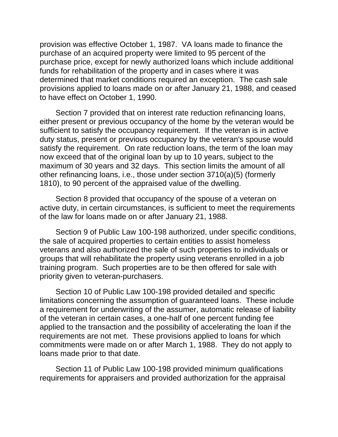provision was effective October 1, 1987. VA loans made to finance the purchase of an acquired property were limited to 95 percent of the purchase price, except for newly authorized loans which include additional funds for rehabilitation of the property and in cases where it was determined that market conditions required an exception. The cash sale provisions applied to loans made on or after January 21, 1988, and ceased to have effect on October 1, 1990.

 Section 7 provided that on interest rate reduction refinancing loans, either present or previous occupancy of the home by the veteran would be sufficient to satisfy the occupancy requirement. If the veteran is in active duty status, present or previous occupancy by the veteran's spouse would satisfy the requirement. On rate reduction loans, the term of the loan may now exceed that of the original loan by up to 10 years, subject to the maximum of 30 years and 32 days. This section limits the amount of all other refinancing loans, i.e., those under section 3710(a)(5) (formerly 1810), to 90 percent of the appraised value of the dwelling.

 Section 8 provided that occupancy of the spouse of a veteran on active duty, in certain circumstances, is sufficient to meet the requirements of the law for loans made on or after January 21, 1988.

 Section 9 of Public Law 100-198 authorized, under specific conditions, the sale of acquired properties to certain entities to assist homeless veterans and also authorized the sale of such properties to individuals or groups that will rehabilitate the property using veterans enrolled in a job training program. Such properties are to be then offered for sale with priority given to veteran-purchasers.

 Section 10 of Public Law 100-198 provided detailed and specific limitations concerning the assumption of guaranteed loans. These include a requirement for underwriting of the assumer, automatic release of liability of the veteran in certain cases, a one-half of one percent funding fee applied to the transaction and the possibility of accelerating the loan if the requirements are not met. These provisions applied to loans for which commitments were made on or after March 1, 1988. They do not apply to loans made prior to that date.

 Section 11 of Public Law 100-198 provided minimum qualifications requirements for appraisers and provided authorization for the appraisal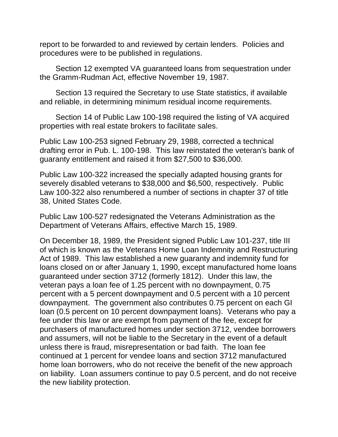report to be forwarded to and reviewed by certain lenders. Policies and procedures were to be published in regulations.

 Section 12 exempted VA guaranteed loans from sequestration under the Gramm-Rudman Act, effective November 19, 1987.

 Section 13 required the Secretary to use State statistics, if available and reliable, in determining minimum residual income requirements.

 Section 14 of Public Law 100-198 required the listing of VA acquired properties with real estate brokers to facilitate sales.

Public Law 100-253 signed February 29, 1988, corrected a technical drafting error in Pub. L. 100-198. This law reinstated the veteran's bank of guaranty entitlement and raised it from \$27,500 to \$36,000.

Public Law 100-322 increased the specially adapted housing grants for severely disabled veterans to \$38,000 and \$6,500, respectively. Public Law 100-322 also renumbered a number of sections in chapter 37 of title 38, United States Code.

Public Law 100-527 redesignated the Veterans Administration as the Department of Veterans Affairs, effective March 15, 1989.

On December 18, 1989, the President signed Public Law 101-237, title III of which is known as the Veterans Home Loan Indemnity and Restructuring Act of 1989. This law established a new guaranty and indemnity fund for loans closed on or after January 1, 1990, except manufactured home loans guaranteed under section 3712 (formerly 1812). Under this law, the veteran pays a loan fee of 1.25 percent with no downpayment, 0.75 percent with a 5 percent downpayment and 0.5 percent with a 10 percent downpayment. The government also contributes 0.75 percent on each GI loan (0.5 percent on 10 percent downpayment loans). Veterans who pay a fee under this law or are exempt from payment of the fee, except for purchasers of manufactured homes under section 3712, vendee borrowers and assumers, will not be liable to the Secretary in the event of a default unless there is fraud, misrepresentation or bad faith. The loan fee continued at 1 percent for vendee loans and section 3712 manufactured home loan borrowers, who do not receive the benefit of the new approach on liability. Loan assumers continue to pay 0.5 percent, and do not receive the new liability protection.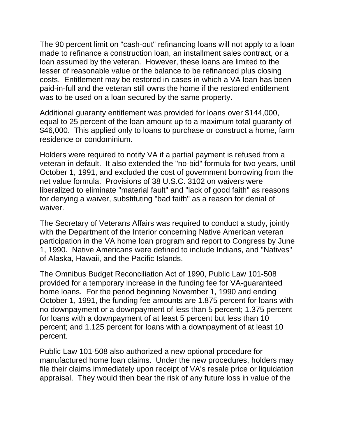The 90 percent limit on "cash-out" refinancing loans will not apply to a loan made to refinance a construction loan, an installment sales contract, or a loan assumed by the veteran. However, these loans are limited to the lesser of reasonable value or the balance to be refinanced plus closing costs. Entitlement may be restored in cases in which a VA loan has been paid-in-full and the veteran still owns the home if the restored entitlement was to be used on a loan secured by the same property.

Additional guaranty entitlement was provided for loans over \$144,000, equal to 25 percent of the loan amount up to a maximum total guaranty of \$46,000. This applied only to loans to purchase or construct a home, farm residence or condominium.

Holders were required to notify VA if a partial payment is refused from a veteran in default. It also extended the "no-bid" formula for two years, until October 1, 1991, and excluded the cost of government borrowing from the net value formula. Provisions of 38 U.S.C. 3102 on waivers were liberalized to eliminate "material fault" and "lack of good faith" as reasons for denying a waiver, substituting "bad faith" as a reason for denial of waiver.

The Secretary of Veterans Affairs was required to conduct a study, jointly with the Department of the Interior concerning Native American veteran participation in the VA home loan program and report to Congress by June 1, 1990. Native Americans were defined to include Indians, and "Natives" of Alaska, Hawaii, and the Pacific Islands.

The Omnibus Budget Reconciliation Act of 1990, Public Law 101-508 provided for a temporary increase in the funding fee for VA-guaranteed home loans. For the period beginning November 1, 1990 and ending October 1, 1991, the funding fee amounts are 1.875 percent for loans with no downpayment or a downpayment of less than 5 percent; 1.375 percent for loans with a downpayment of at least 5 percent but less than 10 percent; and 1.125 percent for loans with a downpayment of at least 10 percent.

Public Law 101-508 also authorized a new optional procedure for manufactured home loan claims. Under the new procedures, holders may file their claims immediately upon receipt of VA's resale price or liquidation appraisal. They would then bear the risk of any future loss in value of the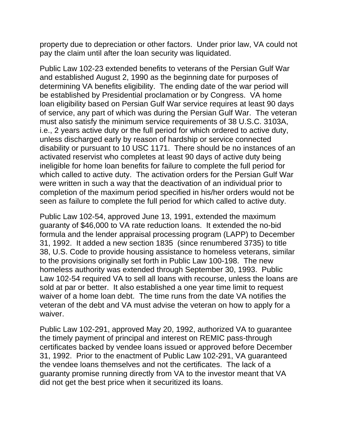property due to depreciation or other factors. Under prior law, VA could not pay the claim until after the loan security was liquidated.

Public Law 102-23 extended benefits to veterans of the Persian Gulf War and established August 2, 1990 as the beginning date for purposes of determining VA benefits eligibility. The ending date of the war period will be established by Presidential proclamation or by Congress. VA home loan eligibility based on Persian Gulf War service requires at least 90 days of service, any part of which was during the Persian Gulf War. The veteran must also satisfy the minimum service requirements of 38 U.S.C. 3103A, i.e., 2 years active duty or the full period for which ordered to active duty, unless discharged early by reason of hardship or service connected disability or pursuant to 10 USC 1171. There should be no instances of an activated reservist who completes at least 90 days of active duty being ineligible for home loan benefits for failure to complete the full period for which called to active duty. The activation orders for the Persian Gulf War were written in such a way that the deactivation of an individual prior to completion of the maximum period specified in his/her orders would not be seen as failure to complete the full period for which called to active duty.

Public Law 102-54, approved June 13, 1991, extended the maximum guaranty of \$46,000 to VA rate reduction loans. It extended the no-bid formula and the lender appraisal processing program (LAPP) to December 31, 1992. It added a new section 1835 (since renumbered 3735) to title 38, U.S. Code to provide housing assistance to homeless veterans, similar to the provisions originally set forth in Public Law 100-198. The new homeless authority was extended through September 30, 1993. Public Law 102-54 required VA to sell all loans with recourse, unless the loans are sold at par or better. It also established a one year time limit to request waiver of a home loan debt. The time runs from the date VA notifies the veteran of the debt and VA must advise the veteran on how to apply for a waiver.

Public Law 102-291, approved May 20, 1992, authorized VA to guarantee the timely payment of principal and interest on REMIC pass-through certificates backed by vendee loans issued or approved before December 31, 1992. Prior to the enactment of Public Law 102-291, VA guaranteed the vendee loans themselves and not the certificates. The lack of a guaranty promise running directly from VA to the investor meant that VA did not get the best price when it securitized its loans.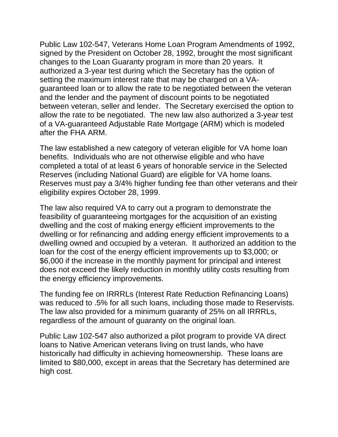Public Law 102-547, Veterans Home Loan Program Amendments of 1992, signed by the President on October 28, 1992, brought the most significant changes to the Loan Guaranty program in more than 20 years. It authorized a 3-year test during which the Secretary has the option of setting the maximum interest rate that may be charged on a VAguaranteed loan or to allow the rate to be negotiated between the veteran and the lender and the payment of discount points to be negotiated between veteran, seller and lender. The Secretary exercised the option to allow the rate to be negotiated. The new law also authorized a 3-year test of a VA-guaranteed Adjustable Rate Mortgage (ARM) which is modeled after the FHA ARM.

The law established a new category of veteran eligible for VA home loan benefits. Individuals who are not otherwise eligible and who have completed a total of at least 6 years of honorable service in the Selected Reserves (including National Guard) are eligible for VA home loans. Reserves must pay a 3/4% higher funding fee than other veterans and their eligibility expires October 28, 1999.

The law also required VA to carry out a program to demonstrate the feasibility of guaranteeing mortgages for the acquisition of an existing dwelling and the cost of making energy efficient improvements to the dwelling or for refinancing and adding energy efficient improvements to a dwelling owned and occupied by a veteran. It authorized an addition to the loan for the cost of the energy efficient improvements up to \$3,000; or \$6,000 if the increase in the monthly payment for principal and interest does not exceed the likely reduction in monthly utility costs resulting from the energy efficiency improvements.

The funding fee on IRRRLs (Interest Rate Reduction Refinancing Loans) was reduced to .5% for all such loans, including those made to Reservists. The law also provided for a minimum guaranty of 25% on all IRRRLs, regardless of the amount of guaranty on the original loan.

Public Law 102-547 also authorized a pilot program to provide VA direct loans to Native American veterans living on trust lands, who have historically had difficulty in achieving homeownership. These loans are limited to \$80,000, except in areas that the Secretary has determined are high cost.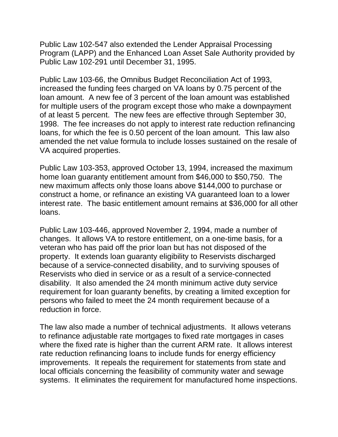Public Law 102-547 also extended the Lender Appraisal Processing Program (LAPP) and the Enhanced Loan Asset Sale Authority provided by Public Law 102-291 until December 31, 1995.

Public Law 103-66, the Omnibus Budget Reconciliation Act of 1993, increased the funding fees charged on VA loans by 0.75 percent of the loan amount. A new fee of 3 percent of the loan amount was established for multiple users of the program except those who make a downpayment of at least 5 percent. The new fees are effective through September 30, 1998. The fee increases do not apply to interest rate reduction refinancing loans, for which the fee is 0.50 percent of the loan amount. This law also amended the net value formula to include losses sustained on the resale of VA acquired properties.

Public Law 103-353, approved October 13, 1994, increased the maximum home loan guaranty entitlement amount from \$46,000 to \$50,750. The new maximum affects only those loans above \$144,000 to purchase or construct a home, or refinance an existing VA guaranteed loan to a lower interest rate. The basic entitlement amount remains at \$36,000 for all other loans.

Public Law 103-446, approved November 2, 1994, made a number of changes. It allows VA to restore entitlement, on a one-time basis, for a veteran who has paid off the prior loan but has not disposed of the property. It extends loan guaranty eligibility to Reservists discharged because of a service-connected disability, and to surviving spouses of Reservists who died in service or as a result of a service-connected disability. It also amended the 24 month minimum active duty service requirement for loan guaranty benefits, by creating a limited exception for persons who failed to meet the 24 month requirement because of a reduction in force.

The law also made a number of technical adjustments. It allows veterans to refinance adjustable rate mortgages to fixed rate mortgages in cases where the fixed rate is higher than the current ARM rate. It allows interest rate reduction refinancing loans to include funds for energy efficiency improvements. It repeals the requirement for statements from state and local officials concerning the feasibility of community water and sewage systems. It eliminates the requirement for manufactured home inspections.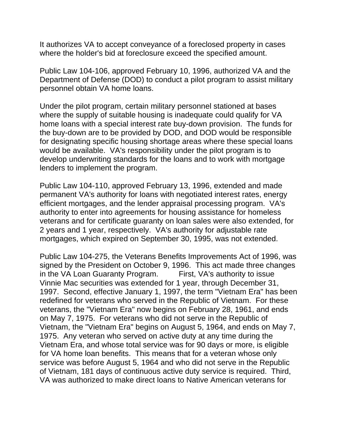It authorizes VA to accept conveyance of a foreclosed property in cases where the holder's bid at foreclosure exceed the specified amount.

Public Law 104-106, approved February 10, 1996, authorized VA and the Department of Defense (DOD) to conduct a pilot program to assist military personnel obtain VA home loans.

Under the pilot program, certain military personnel stationed at bases where the supply of suitable housing is inadequate could qualify for VA home loans with a special interest rate buy-down provision. The funds for the buy-down are to be provided by DOD, and DOD would be responsible for designating specific housing shortage areas where these special loans would be available. VA's responsibility under the pilot program is to develop underwriting standards for the loans and to work with mortgage lenders to implement the program.

Public Law 104-110, approved February 13, 1996, extended and made permanent VA's authority for loans with negotiated interest rates, energy efficient mortgages, and the lender appraisal processing program. VA's authority to enter into agreements for housing assistance for homeless veterans and for certificate guaranty on loan sales were also extended, for 2 years and 1 year, respectively. VA's authority for adjustable rate mortgages, which expired on September 30, 1995, was not extended.

Public Law 104-275, the Veterans Benefits Improvements Act of 1996, was signed by the President on October 9, 1996. This act made three changes in the VA Loan Guaranty Program. First, VA's authority to issue Vinnie Mac securities was extended for 1 year, through December 31, 1997. Second, effective January 1, 1997, the term "Vietnam Era" has been redefined for veterans who served in the Republic of Vietnam. For these veterans, the "Vietnam Era" now begins on February 28, 1961, and ends on May 7, 1975. For veterans who did not serve in the Republic of Vietnam, the "Vietnam Era" begins on August 5, 1964, and ends on May 7, 1975. Any veteran who served on active duty at any time during the Vietnam Era, and whose total service was for 90 days or more, is eligible for VA home loan benefits. This means that for a veteran whose only service was before August 5, 1964 and who did not serve in the Republic of Vietnam, 181 days of continuous active duty service is required. Third, VA was authorized to make direct loans to Native American veterans for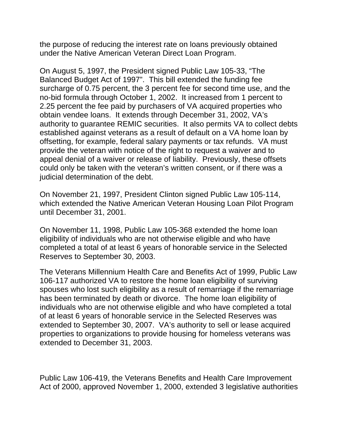the purpose of reducing the interest rate on loans previously obtained under the Native American Veteran Direct Loan Program.

On August 5, 1997, the President signed Public Law 105-33, "The Balanced Budget Act of 1997". This bill extended the funding fee surcharge of 0.75 percent, the 3 percent fee for second time use, and the no-bid formula through October 1, 2002. It increased from 1 percent to 2.25 percent the fee paid by purchasers of VA acquired properties who obtain vendee loans. It extends through December 31, 2002, VA's authority to guarantee REMIC securities. It also permits VA to collect debts established against veterans as a result of default on a VA home loan by offsetting, for example, federal salary payments or tax refunds. VA must provide the veteran with notice of the right to request a waiver and to appeal denial of a waiver or release of liability. Previously, these offsets could only be taken with the veteran's written consent, or if there was a judicial determination of the debt.

On November 21, 1997, President Clinton signed Public Law 105-114, which extended the Native American Veteran Housing Loan Pilot Program until December 31, 2001.

On November 11, 1998, Public Law 105-368 extended the home loan eligibility of individuals who are not otherwise eligible and who have completed a total of at least 6 years of honorable service in the Selected Reserves to September 30, 2003.

The Veterans Millennium Health Care and Benefits Act of 1999, Public Law 106-117 authorized VA to restore the home loan eligibility of surviving spouses who lost such eligibility as a result of remarriage if the remarriage has been terminated by death or divorce. The home loan eligibility of individuals who are not otherwise eligible and who have completed a total of at least 6 years of honorable service in the Selected Reserves was extended to September 30, 2007. VA's authority to sell or lease acquired properties to organizations to provide housing for homeless veterans was extended to December 31, 2003.

Public Law 106-419, the Veterans Benefits and Health Care Improvement Act of 2000, approved November 1, 2000, extended 3 legislative authorities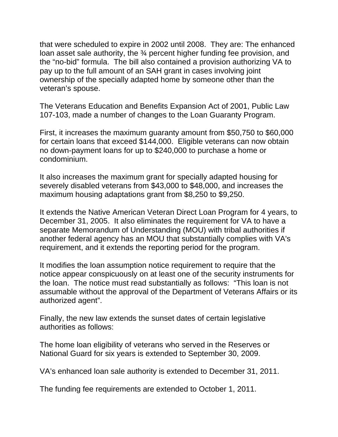that were scheduled to expire in 2002 until 2008. They are: The enhanced loan asset sale authority, the 34 percent higher funding fee provision, and the "no-bid" formula. The bill also contained a provision authorizing VA to pay up to the full amount of an SAH grant in cases involving joint ownership of the specially adapted home by someone other than the veteran's spouse.

The Veterans Education and Benefits Expansion Act of 2001, Public Law 107-103, made a number of changes to the Loan Guaranty Program.

First, it increases the maximum guaranty amount from \$50,750 to \$60,000 for certain loans that exceed \$144,000. Eligible veterans can now obtain no down-payment loans for up to \$240,000 to purchase a home or condominium.

It also increases the maximum grant for specially adapted housing for severely disabled veterans from \$43,000 to \$48,000, and increases the maximum housing adaptations grant from \$8,250 to \$9,250.

It extends the Native American Veteran Direct Loan Program for 4 years, to December 31, 2005. It also eliminates the requirement for VA to have a separate Memorandum of Understanding (MOU) with tribal authorities if another federal agency has an MOU that substantially complies with VA's requirement, and it extends the reporting period for the program.

It modifies the loan assumption notice requirement to require that the notice appear conspicuously on at least one of the security instruments for the loan. The notice must read substantially as follows: "This loan is not assumable without the approval of the Department of Veterans Affairs or its authorized agent".

Finally, the new law extends the sunset dates of certain legislative authorities as follows:

The home loan eligibility of veterans who served in the Reserves or National Guard for six years is extended to September 30, 2009.

VA's enhanced loan sale authority is extended to December 31, 2011.

The funding fee requirements are extended to October 1, 2011.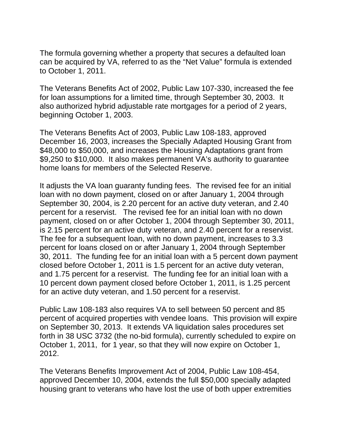The formula governing whether a property that secures a defaulted loan can be acquired by VA, referred to as the "Net Value" formula is extended to October 1, 2011.

The Veterans Benefits Act of 2002, Public Law 107-330, increased the fee for loan assumptions for a limited time, through September 30, 2003. It also authorized hybrid adjustable rate mortgages for a period of 2 years, beginning October 1, 2003.

The Veterans Benefits Act of 2003, Public Law 108-183, approved December 16, 2003, increases the Specially Adapted Housing Grant from \$48,000 to \$50,000, and increases the Housing Adaptations grant from \$9,250 to \$10,000. It also makes permanent VA's authority to guarantee home loans for members of the Selected Reserve.

It adjusts the VA loan guaranty funding fees. The revised fee for an initial loan with no down payment, closed on or after January 1, 2004 through September 30, 2004, is 2.20 percent for an active duty veteran, and 2.40 percent for a reservist. The revised fee for an initial loan with no down payment, closed on or after October 1, 2004 through September 30, 2011, is 2.15 percent for an active duty veteran, and 2.40 percent for a reservist. The fee for a subsequent loan, with no down payment, increases to 3.3 percent for loans closed on or after January 1, 2004 through September 30, 2011. The funding fee for an initial loan with a 5 percent down payment closed before October 1, 2011 is 1.5 percent for an active duty veteran, and 1.75 percent for a reservist. The funding fee for an initial loan with a 10 percent down payment closed before October 1, 2011, is 1.25 percent for an active duty veteran, and 1.50 percent for a reservist.

Public Law 108-183 also requires VA to sell between 50 percent and 85 percent of acquired properties with vendee loans. This provision will expire on September 30, 2013. It extends VA liquidation sales procedures set forth in 38 USC 3732 (the no-bid formula), currently scheduled to expire on October 1, 2011, for 1 year, so that they will now expire on October 1, 2012.

The Veterans Benefits Improvement Act of 2004, Public Law 108-454, approved December 10, 2004, extends the full \$50,000 specially adapted housing grant to veterans who have lost the use of both upper extremities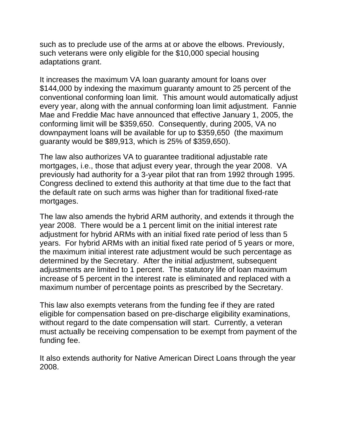such as to preclude use of the arms at or above the elbows. Previously, such veterans were only eligible for the \$10,000 special housing adaptations grant.

It increases the maximum VA loan guaranty amount for loans over \$144,000 by indexing the maximum guaranty amount to 25 percent of the conventional conforming loan limit. This amount would automatically adjust every year, along with the annual conforming loan limit adjustment. Fannie Mae and Freddie Mac have announced that effective January 1, 2005, the conforming limit will be \$359,650. Consequently, during 2005, VA no downpayment loans will be available for up to \$359,650 (the maximum guaranty would be \$89,913, which is 25% of \$359,650).

The law also authorizes VA to guarantee traditional adjustable rate mortgages, i.e., those that adjust every year, through the year 2008. VA previously had authority for a 3-year pilot that ran from 1992 through 1995. Congress declined to extend this authority at that time due to the fact that the default rate on such arms was higher than for traditional fixed-rate mortgages.

The law also amends the hybrid ARM authority, and extends it through the year 2008. There would be a 1 percent limit on the initial interest rate adjustment for hybrid ARMs with an initial fixed rate period of less than 5 years. For hybrid ARMs with an initial fixed rate period of 5 years or more, the maximum initial interest rate adjustment would be such percentage as determined by the Secretary. After the initial adjustment, subsequent adjustments are limited to 1 percent. The statutory life of loan maximum increase of 5 percent in the interest rate is eliminated and replaced with a maximum number of percentage points as prescribed by the Secretary.

This law also exempts veterans from the funding fee if they are rated eligible for compensation based on pre-discharge eligibility examinations, without regard to the date compensation will start. Currently, a veteran must actually be receiving compensation to be exempt from payment of the funding fee.

It also extends authority for Native American Direct Loans through the year 2008.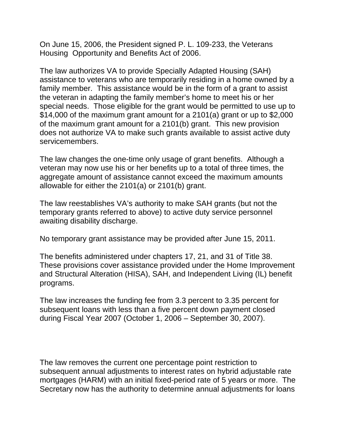On June 15, 2006, the President signed P. L. 109-233, the Veterans Housing Opportunity and Benefits Act of 2006.

The law authorizes VA to provide Specially Adapted Housing (SAH) assistance to veterans who are temporarily residing in a home owned by a family member. This assistance would be in the form of a grant to assist the veteran in adapting the family member's home to meet his or her special needs. Those eligible for the grant would be permitted to use up to \$14,000 of the maximum grant amount for a 2101(a) grant or up to \$2,000 of the maximum grant amount for a 2101(b) grant. This new provision does not authorize VA to make such grants available to assist active duty servicemembers.

The law changes the one-time only usage of grant benefits. Although a veteran may now use his or her benefits up to a total of three times, the aggregate amount of assistance cannot exceed the maximum amounts allowable for either the 2101(a) or 2101(b) grant.

The law reestablishes VA's authority to make SAH grants (but not the temporary grants referred to above) to active duty service personnel awaiting disability discharge.

No temporary grant assistance may be provided after June 15, 2011.

The benefits administered under chapters 17, 21, and 31 of Title 38. These provisions cover assistance provided under the Home Improvement and Structural Alteration (HISA), SAH, and Independent Living (IL) benefit programs.

The law increases the funding fee from 3.3 percent to 3.35 percent for subsequent loans with less than a five percent down payment closed during Fiscal Year 2007 (October 1, 2006 – September 30, 2007).

The law removes the current one percentage point restriction to subsequent annual adjustments to interest rates on hybrid adjustable rate mortgages (HARM) with an initial fixed-period rate of 5 years or more. The Secretary now has the authority to determine annual adjustments for loans